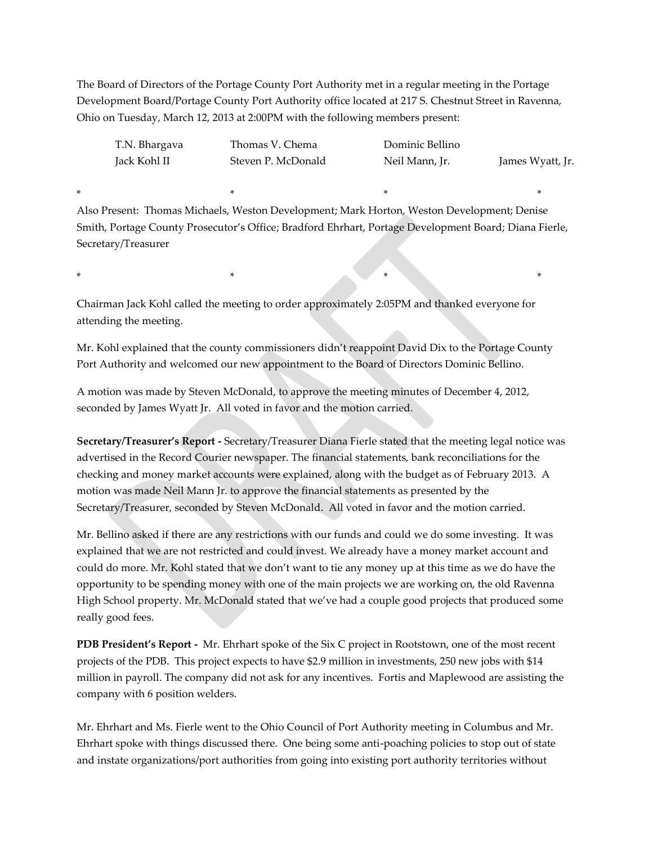The Board of Directors of the Portage County Port Authority met in a regular meeting in the Portage Development Board/Portage County Port Authority office located at 217 S. Chestnut Street in Ravenna, Ohio on Tuesday, March 12, 2013 at 2:00PM with the following members present:

| T.N. Bhargava | Thomas V. Chema    | Dominic Bellino |                  |
|---------------|--------------------|-----------------|------------------|
| Jack Kohl II  | Steven P. McDonald | Neil Mann, Jr.  | James Wyatt, Jr. |

Also Present: Thomas Michaels, Weston Development; Mark Horton, Weston Development; Denise Smith, Portage County Prosecutor's Office; Bradford Ehrhart, Portage Development Board; Diana Fierle, Secretary/Treasurer

\* \* \* \*

Chairman Jack Kohl called the meeting to order approximately 2:05PM and thanked everyone for attending the meeting.

\* \* \* \*

Mr. Kohl explained that the county commissioners didn't reappoint David Dix to the Portage County Port Authority and welcomed our new appointment to the Board of Directors Dominic Bellino.

A motion was made by Steven McDonald, to approve the meeting minutes of December 4, 2012, seconded by James Wyatt Jr. All voted in favor and the motion carried.

**Secretary/Treasurer's Report -** Secretary/Treasurer Diana Fierle stated that the meeting legal notice was advertised in the Record Courier newspaper. The financial statements, bank reconciliations for the checking and money market accounts were explained, along with the budget as of February 2013. A motion was made Neil Mann Jr. to approve the financial statements as presented by the Secretary/Treasurer, seconded by Steven McDonald. All voted in favor and the motion carried.

Mr. Bellino asked if there are any restrictions with our funds and could we do some investing. It was explained that we are not restricted and could invest. We already have a money market account and could do more. Mr. Kohl stated that we don't want to tie any money up at this time as we do have the opportunity to be spending money with one of the main projects we are working on, the old Ravenna High School property. Mr. McDonald stated that we've had a couple good projects that produced some really good fees.

**PDB President's Report -** Mr. Ehrhart spoke of the Six C project in Rootstown, one of the most recent projects of the PDB. This project expects to have \$2.9 million in investments, 250 new jobs with \$14 million in payroll. The company did not ask for any incentives. Fortis and Maplewood are assisting the company with 6 position welders.

Mr. Ehrhart and Ms. Fierle went to the Ohio Council of Port Authority meeting in Columbus and Mr. Ehrhart spoke with things discussed there. One being some anti-poaching policies to stop out of state and instate organizations/port authorities from going into existing port authority territories without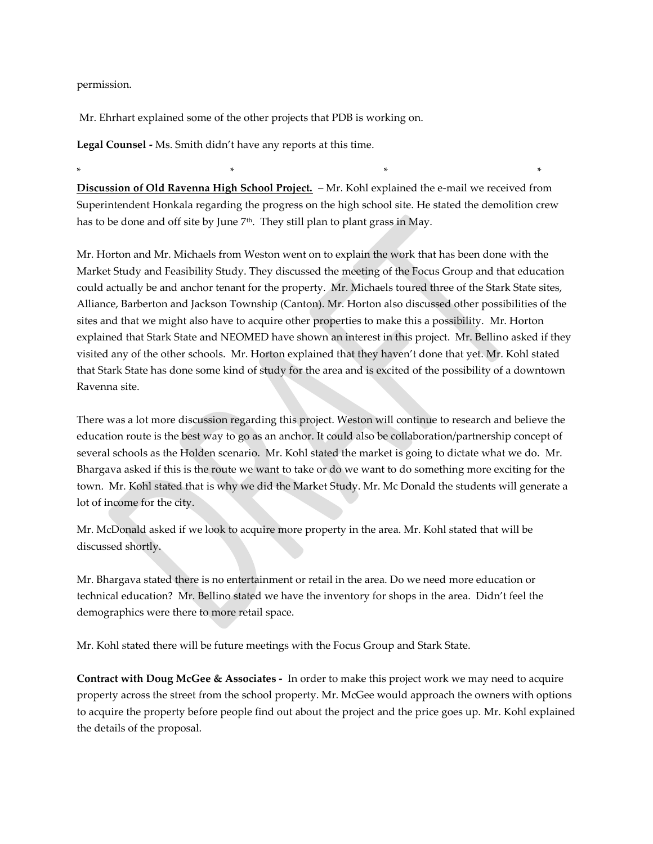permission.

Mr. Ehrhart explained some of the other projects that PDB is working on.

**Legal Counsel -** Ms. Smith didn't have any reports at this time.

**Discussion of Old Ravenna High School Project.** – Mr. Kohl explained the e-mail we received from Superintendent Honkala regarding the progress on the high school site. He stated the demolition crew has to be done and off site by June 7<sup>th</sup>. They still plan to plant grass in May.

\* \* \* \*

Mr. Horton and Mr. Michaels from Weston went on to explain the work that has been done with the Market Study and Feasibility Study. They discussed the meeting of the Focus Group and that education could actually be and anchor tenant for the property. Mr. Michaels toured three of the Stark State sites, Alliance, Barberton and Jackson Township (Canton). Mr. Horton also discussed other possibilities of the sites and that we might also have to acquire other properties to make this a possibility. Mr. Horton explained that Stark State and NEOMED have shown an interest in this project. Mr. Bellino asked if they visited any of the other schools. Mr. Horton explained that they haven't done that yet. Mr. Kohl stated that Stark State has done some kind of study for the area and is excited of the possibility of a downtown Ravenna site.

There was a lot more discussion regarding this project. Weston will continue to research and believe the education route is the best way to go as an anchor. It could also be collaboration/partnership concept of several schools as the Holden scenario. Mr. Kohl stated the market is going to dictate what we do. Mr. Bhargava asked if this is the route we want to take or do we want to do something more exciting for the town. Mr. Kohl stated that is why we did the Market Study. Mr. Mc Donald the students will generate a lot of income for the city.

Mr. McDonald asked if we look to acquire more property in the area. Mr. Kohl stated that will be discussed shortly.

Mr. Bhargava stated there is no entertainment or retail in the area. Do we need more education or technical education? Mr. Bellino stated we have the inventory for shops in the area. Didn't feel the demographics were there to more retail space.

Mr. Kohl stated there will be future meetings with the Focus Group and Stark State.

**Contract with Doug McGee & Associates -** In order to make this project work we may need to acquire property across the street from the school property. Mr. McGee would approach the owners with options to acquire the property before people find out about the project and the price goes up. Mr. Kohl explained the details of the proposal.